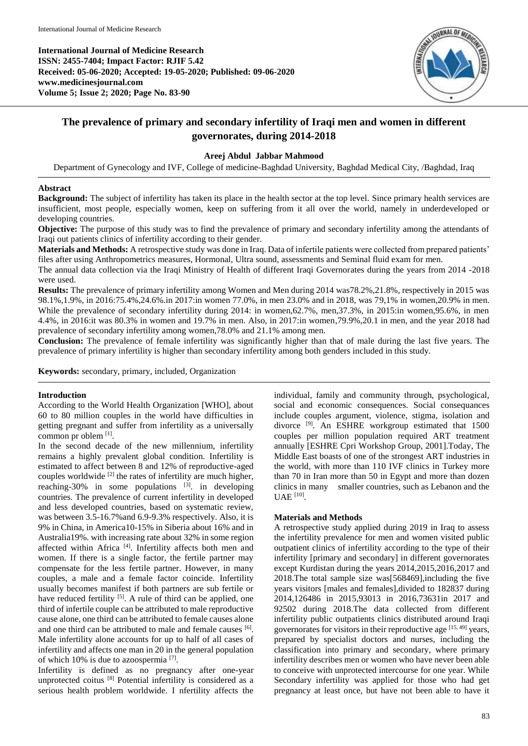**International Journal of Medicine Research ISSN: 2455-7404; Impact Factor: RJIF 5.42 Received: 05-06-2020; Accepted: 19-05-2020; Published: 09-06-2020 www.medicinesjournal.com Volume 5; Issue 2; 2020; Page No. 83-90**



# **The prevalence of primary and secondary infertility of Iraqi men and women in different governorates, during 2014-2018**

## **Areej Abdul Jabbar Mahmood**

Department of Gynecology and IVF, College of medicine-Baghdad University, Baghdad Medical City, /Baghdad, Iraq

#### **Abstract**

**Background:** The subject of infertility has taken its place in the health sector at the top level. Since primary health services are insufficient, most people, especially women, keep on suffering from it all over the world, namely in underdeveloped or developing countries.

**Objective:** The purpose of this study was to find the prevalence of primary and secondary infertility among the attendants of Iraqi out patients clinics of infertility according to their gender.

**Materials and Methods:** A retrospective study was done in Iraq. Data of infertile patients were collected from prepared patients' files after using Anthropometrics measures, Hormonal, Ultra sound, assessments and Seminal fluid exam for men.

The annual data collection via the Iraqi Ministry of Health of different Iraqi Governorates during the years from 2014 -2018 were used.

**Results:** The prevalence of primary infertility among Women and Men during 2014 was78.2%,21.8%, respectively in 2015 was 98.1%,1.9%, in 2016:75.4%,24.6%.in 2017:in women 77.0%, in men 23.0% and in 2018, was 79,1% in women,20.9% in men. While the prevalence of secondary infertility during 2014: in women,62.7%, men,37.3%, in 2015:in women,95.6%, in men 4.4%, in 2016:it was 80.3% in women and 19.7% in men. Also, in 2017:in women,79.9%,20.1 in men, and the year 2018 had prevalence of secondary infertility among women,78.0% and 21.1% among men.

**Conclusion:** The prevalence of female infertility was significantly higher than that of male during the last five years. The prevalence of primary infertility is higher than secondary infertility among both genders included in this study.

**Keywords:** secondary, primary, included, Organization

#### **Introduction**

According to the World Health Organization [WHO], about 60 to 80 million couples in the world have difficulties in getting pregnant and suffer from infertility as a universally common pr oblem [1].

In the second decade of the new millennium, infertility remains a highly prevalent global condition. Infertility is estimated to affect between 8 and 12% of reproductive-aged couples worldwide [2] the rates of infertility are much higher, reaching-30% in some populations  $[3]$ . in developing countries. The prevalence of current infertility in developed and less developed countries, based on systematic review, was between 3.5-16.7%and 6.9-9.3% respectively. Also, it is 9% in China, in America10-15% in Siberia about 16% and in Australia19%. with increasing rate about 32% in some region affected within Africa [4]. Infertility affects both men and women. If there is a single factor, the fertile partner may compensate for the less fertile partner. However, in many couples, a male and a female factor coincide. Infertility usually becomes manifest if both partners are sub fertile or have reduced fertility <sup>[5]</sup>. A rule of third can be applied, one third of infertile couple can be attributed to male reproductive cause alone, one third can be attributed to female causes alone and one third can be attributed to male and female causes [6]. Male infertility alone accounts for up to half of all cases of infertility and affects one man in 20 in the general population of which 10% is due to azoospermia<sup>[7]</sup>.

Infertility is defined as no pregnancy after one-year unprotected coitus [8] Potential infertility is considered as a serious health problem worldwide. I nfertility affects the

individual, family and community through, psychological, social and economic consequences. Social consequances include couples argument, violence, stigma, isolation and divorce [9]. An ESHRE workgroup estimated that 1500 couples per million population required ART treatment annually [ESHRE Cpri Workshop Group, 2001].Today, The Middle East boasts of one of the strongest ART industries in the world, with more than 110 IVF clinics in Turkey more than 70 in Iran more than 50 in Egypt and more than dozen clinics in many smaller countries, such as Lebanon and the UAE<sup>[10]</sup>.

## **Materials and Methods**

A retrospective study applied during 2019 in Iraq to assess the infertility prevalence for men and women visited public outpatient clinics of infertility according to the type of their infertility [primary and secondary] in different governorates except Kurdistan during the years 2014,2015,2016,2017 and 2018.The total sample size was[568469],including the five years visitors [males and females],divided to 182837 during 2014,126486 in 2015,93013 in 2016,73631in 2017 and 92502 during 2018.The data collected from different infertility public outpatients clinics distributed around Iraqi governorates for visitors in their reproductive age  $[15, 49]$  years, prepared by specialist doctors and nurses, including the classification into primary and secondary, where primary infertility describes men or women who have never been able to conceive with unprotected intercourse for one year. While Secondary infertility was applied for those who had get pregnancy at least once, but have not been able to have it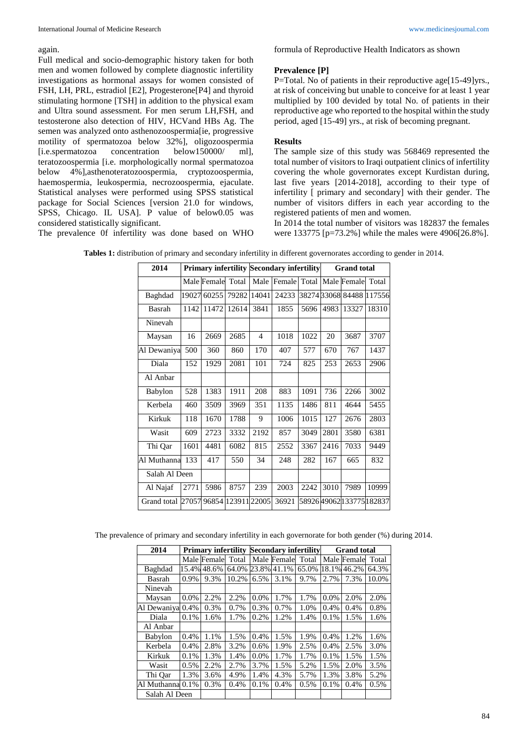#### again.

Full medical and socio-demographic history taken for both men and women followed by complete diagnostic infertility investigations as hormonal assays for women consisted of FSH, LH, PRL, estradiol [E2], Progesterone[P4] and thyroid stimulating hormone [TSH] in addition to the physical exam and Ultra sound assessment. For men serum LH,FSH, and testosterone also detection of HIV, HCVand HBs Ag. The semen was analyzed onto asthenozoospermia[ie, progressive motility of spermatozoa below 32%], oligozoospermia [i.e.spermatozoa concentration below150000/ ml], teratozoospermia [i.e. morphologically normal spermatozoa below 4%],asthenoteratozoospermia, cryptozoospermia, haemospermia, leukospermia, necrozoospermia, ejaculate. Statistical analyses were performed using SPSS statistical package for Social Sciences [version 21.0 for windows, SPSS, Chicago. IL USA]. P value of below0.05 was considered statistically significant.

The prevalence 0f infertility was done based on WHO

formula of Reproductive Health Indicators as shown

## **Prevalence [P]**

P=Total. No of patients in their reproductive age[15-49]yrs., at risk of conceiving but unable to conceive for at least 1 year multiplied by 100 devided by total No. of patients in their reproductive age who reported to the hospital within the study period, aged [15-49] yrs., at risk of becoming pregnant.

## **Results**

The sample size of this study was 568469 represented the total number of visitors to Iraqi outpatient clinics of infertility covering the whole governorates except Kurdistan during, last five years [2014-2018], according to their type of infertility [ primary and secondary] with their gender. The number of visitors differs in each year according to the registered patients of men and women.

In 2014 the total number of visitors was 182837 the females were 133775 [p=73.2%] while the males were 4906[26.8%].

| 2014          |       |             |             |       | <b>Primary infertility Secondary infertility</b> |       | <b>Grand</b> total |                        |        |  |
|---------------|-------|-------------|-------------|-------|--------------------------------------------------|-------|--------------------|------------------------|--------|--|
|               |       | Male Female | Total       | Male  | Female                                           | Total |                    | Male Female            | Total  |  |
| Baghdad       | 19027 | 60255       | 79282       | 14041 | 24233                                            |       |                    | 382743306884488        | 117556 |  |
| Basrah        | 1142  | 11472       | 12614       | 3841  | 1855                                             | 5696  | 4983               | 13327                  | 18310  |  |
| Ninevah       |       |             |             |       |                                                  |       |                    |                        |        |  |
| Maysan        | 16    | 2669        | 2685        | 4     | 1018                                             | 1022  | 20                 | 3687                   | 3707   |  |
| Al Dewaniya   | 500   | 360         | 860         | 170   | 407                                              | 577   | 670                | 767                    | 1437   |  |
| Diala         | 152   | 1929        | 2081        | 101   | 724                                              | 825   | 253                | 2653                   | 2906   |  |
| Al Anbar      |       |             |             |       |                                                  |       |                    |                        |        |  |
| Babylon       | 528   | 1383        | 1911        | 208   | 883                                              | 1091  | 736                | 2266                   | 3002   |  |
| Kerbela       | 460   | 3509        | 3969        | 351   | 1135                                             | 1486  | 811                | 4644                   | 5455   |  |
| Kirkuk        | 118   | 1670        | 1788        | 9     | 1006                                             | 1015  | 127                | 2676                   | 2803   |  |
| Wasit         | 609   | 2723        | 3332        | 2192  | 857                                              | 3049  | 2801               | 3580                   | 6381   |  |
| Thi Qar       | 1601  | 4481        | 6082        | 815   | 2552                                             | 3367  | 2416               | 7033                   | 9449   |  |
| Al Muthanna   | 133   | 417         | 550         | 34    | 248                                              | 282   | 167                | 665                    | 832    |  |
| Salah Al Deen |       |             |             |       |                                                  |       |                    |                        |        |  |
| Al Najaf      | 2771  | 5986        | 8757        | 239   | 2003                                             | 2242  | 3010               | 7989                   | 10999  |  |
| Grand total   | 27057 | 96854       | 12391122005 |       | 36921                                            |       |                    | 5892649062133775182837 |        |  |

**Tables 1:** distribution of primary and secondary infertility in different governorates according to gender in 2014.

The prevalence of primary and secondary infertility in each governorate for both gender (%) during 2014.

| 2014           |       | <b>Primary infertility</b> |       |         |             | <b>Secondary infertility</b> |      | <b>Grand</b> total |       |
|----------------|-------|----------------------------|-------|---------|-------------|------------------------------|------|--------------------|-------|
|                |       | Male Female                | Total |         | Male Female | Total                        |      | Male Female        | Total |
| Baghdad        | 15.4% | 48.6%                      | 64.0% |         | 23.8% 41.1% | 65.0%                        |      | 18.1% 46.2%        | 64.3% |
| Basrah         | 0.9%  | 9.3%                       | 10.2% | 6.5%    | 3.1%        | 9.7%                         | 2.7% | 7.3%               | 10.0% |
| Ninevah        |       |                            |       |         |             |                              |      |                    |       |
| Maysan         | 0.0%  | 2.2%                       | 2.2%  | 0.0%    | 1.7%        | 1.7%                         | 0.0% | 2.0%               | 2.0%  |
| Al Dewaniya    | 0.4%  | 0.3%                       | 0.7%  | 0.3%    | 0.7%        | 1.0%                         | 0.4% | 0.4%               | 0.8%  |
| Diala          | 0.1%  | 1.6%                       | 1.7%  | 0.2%    | 1.2%        | 1.4%                         | 0.1% | 1.5%               | 1.6%  |
| Al Anbar       |       |                            |       |         |             |                              |      |                    |       |
| <b>Babylon</b> | 0.4%  | 1.1%                       | 1.5%  | 0.4%    | 1.5%        | 1.9%                         | 0.4% | 1.2%               | 1.6%  |
| Kerbela        | 0.4%  | 2.8%                       | 3.2%  | 0.6%    | 1.9%        | 2.5%                         | 0.4% | 2.5%               | 3.0%  |
| Kirkuk         | 0.1%  | 1.3%                       | 1.4%  | $0.0\%$ | 1.7%        | 1.7%                         | 0.1% | 1.5%               | 1.5%  |
| Wasit          | 0.5%  | 2.2%                       | 2.7%  | 3.7%    | 1.5%        | 5.2%                         | 1.5% | 2.0%               | 3.5%  |
| Thi Qar        | 1.3%  | 3.6%                       | 4.9%  | 1.4%    | 4.3%        | 5.7%                         | 1.3% | 3.8%               | 5.2%  |
| Al Muthanna    | 0.1%  | 0.3%                       | 0.4%  | 0.1%    | 0.4%        | 0.5%                         | 0.1% | 0.4%               | 0.5%  |
| Salah Al Deen  |       |                            |       |         |             |                              |      |                    |       |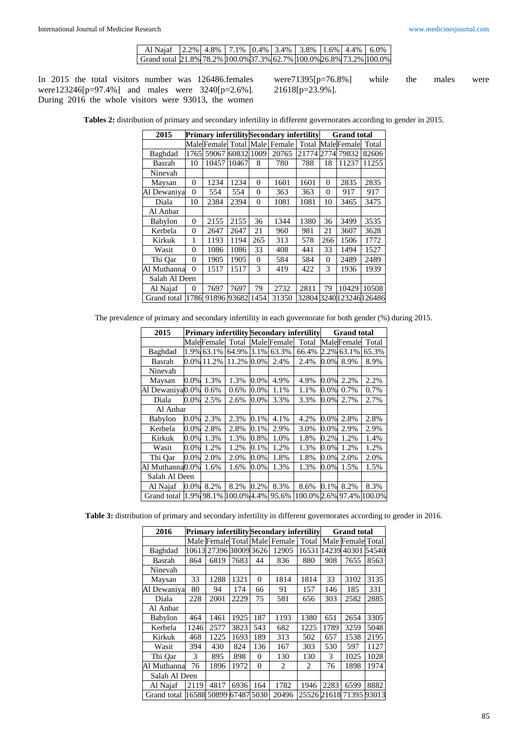| Al Naiaf 12.2%   4.8%   7.1%   0.4%   3.4%   3.8%   1.6%   4.4%   6.0%                   |  |  |  |  |  |
|------------------------------------------------------------------------------------------|--|--|--|--|--|
| Grand total $[21.8\%]$ 78.2% $[100.0\%]$ 37.3% 62.7% $[100.0\%]$ 26.8% 73.2% $[100.0\%]$ |  |  |  |  |  |

In 2015 the total visitors number was 126486.females were123246[p=97.4%] and males were 3240[p=2.6%]. During 2016 the whole visitors were 93013, the women

were71395[p=76.8%] while the males were 21618[p=23.9%].

**Tables 2:** distribution of primary and secondary infertility in different governorates according to gender in 2015.

| 2015          |          |       |       |          | Primary infertilitySecondary infertility |       | <b>Grand</b> total |                  |       |  |
|---------------|----------|-------|-------|----------|------------------------------------------|-------|--------------------|------------------|-------|--|
|               |          |       |       |          | Male Female Total Male Female            | Total |                    | MaleFemale       | Total |  |
| Baghdad       | 1765     | 59067 | 60832 | 1009     | 20765                                    | 21774 | 2774               | 79832            | 82606 |  |
| Basrah        | 10       | 10457 | 10467 | 8        | 780                                      | 788   | 18                 | 11237            | 11255 |  |
| Ninevah       |          |       |       |          |                                          |       |                    |                  |       |  |
| Maysan        | 0        | 1234  | 1234  | $\theta$ | 1601                                     | 1601  | $\Omega$           | 2835             | 2835  |  |
| Al Dewaniya   | $\theta$ | 554   | 554   | $\Omega$ | 363                                      | 363   | $\Omega$           | 917              | 917   |  |
| Diala         | 10       | 2384  | 2394  | $\theta$ | 1081                                     | 1081  | 10                 | 3465             | 3475  |  |
| Al Anbar      |          |       |       |          |                                          |       |                    |                  |       |  |
| Babylon       | 0        | 2155  | 2155  | 36       | 1344                                     | 1380  | 36                 | 3499             | 3535  |  |
| Kerbela       | 0        | 2647  | 2647  | 21       | 960                                      | 981   | 21                 | 3607             | 3628  |  |
| Kirkuk        | 1        | 1193  | 1194  | 265      | 313                                      | 578   | 266                | 1506             | 1772  |  |
| Wasit         | 0        | 1086  | 1086  | 33       | 408                                      | 441   | 33                 | 1494             | 1527  |  |
| Thi Oar       | $\theta$ | 1905  | 1905  | $\Omega$ | 584                                      | 584   | $\Omega$           | 2489             | 2489  |  |
| Al Muthanna   | $\Omega$ | 1517  | 1517  | 3        | 419                                      | 422   | 3                  | 1936             | 1939  |  |
| Salah Al Deen |          |       |       |          |                                          |       |                    |                  |       |  |
| Al Najaf      | 0        | 7697  | 7697  | 79       | 2732                                     | 2811  | 79                 | 10429            | 10508 |  |
| Grand total   | 1786     | 91896 | 93682 | 1454     | 31350                                    | 32804 |                    | 3240123246126486 |       |  |

The prevalence of primary and secondary infertility in each governorate for both gender (%) during 2015.

| 2015             |         |            |             |         |             | <b>Primary infertility Secondary infertility</b> | <b>Grand total</b> |            |        |  |
|------------------|---------|------------|-------------|---------|-------------|--------------------------------------------------|--------------------|------------|--------|--|
|                  |         | MaleFemale | Total       |         | Male Female | Total                                            |                    | MaleFemale | Total  |  |
| Baghdad          | 1.9%    | 63.1%      | 64.9%       | 3.1%    | 63.3%       | 66.4%                                            | 2.2%               | 63.1%      | 65.3%  |  |
| Basrah           |         | 0.0% 11.2% | 11.2%       | $0.0\%$ | 2.4%        | 2.4%                                             | $0.0\%$            | 8.9%       | 8.9%   |  |
| Ninevah          |         |            |             |         |             |                                                  |                    |            |        |  |
| Maysan           | $0.0\%$ | 1.3%       | 1.3%        | 0.0%    | 4.9%        | 4.9%                                             | $0.0\%$            | 2.2%       | 2.2%   |  |
| Al Dewaniya0.0%  |         | 0.6%       | 0.6%        | 0.0%    | 1.1%        | 1.1%                                             | 0.0%               | 0.7%       | 0.7%   |  |
| Diala            | $0.0\%$ | 2.5%       | 2.6%        | $0.0\%$ | 3.3%        | 3.3%                                             | 0.0%               | 2.7%       | 2.7%   |  |
| Al Anbar         |         |            |             |         |             |                                                  |                    |            |        |  |
| Babylon          | 0.0%    | 2.3%       | 2.3%        | 0.1%    | 4.1%        | 4.2%                                             | $0.0\%$            | 2.8%       | 2.8%   |  |
| Kerbela          | $0.0\%$ | 2.8%       | 2.8%        | 0.1%    | 2.9%        | 3.0%                                             | $0.0\%$            | 2.9%       | 2.9%   |  |
| Kirkuk           | $0.0\%$ | 1.3%       | 1.3%        | 0.8%    | 1.0%        | 1.8%                                             | 0.2%               | 1.2%       | 1.4%   |  |
| Wasit            | $0.0\%$ | 1.2%       | 1.2%        | 0.1%    | 1.2%        | 1.3%                                             | $0.0\%$            | 1.2%       | 1.2%   |  |
| Thi Oar          | $0.0\%$ | 2.0%       | 2.0%        | $0.0\%$ | 1.8%        | 1.8%                                             | 0.0%               | 2.0%       | 2.0%   |  |
| Al Muthanna0.0%  |         | 1.6%       | 1.6%        | 0.0%    | 1.3%        | 1.3%                                             | $0.0\%$            | 1.5%       | 1.5%   |  |
| Salah Al Deen    |         |            |             |         |             |                                                  |                    |            |        |  |
| Al Najaf         | $0.0\%$ | 8.2%       | 8.2%        | 0.2%    | 8.3%        | 8.6%                                             | $0.1\%$            | 8.2%       | 8.3%   |  |
| Grand total 1.9% |         | 98.1%      | 100.0% 4.4% |         | 95.6%       | 100.0% 2.6% 97.4%                                |                    |            | 100.0% |  |

**Table 3:** distribution of primary and secondary infertility in different governorates according to gender in 2016.

| 2016           |      |                        |      |          | <b>Primary infertility Secondary infertility</b> |                             | <b>Grand</b> total |                   |       |  |
|----------------|------|------------------------|------|----------|--------------------------------------------------|-----------------------------|--------------------|-------------------|-------|--|
|                |      |                        |      |          | Male Female Total Male Female                    | Total                       |                    | Male Female Total |       |  |
| Baghdad        |      | 10613 27396 38009 3626 |      |          | 12905                                            | 16531                       | 4239               | 40301             | 54540 |  |
| Basrah         | 864  | 6819                   | 7683 | 44       | 836                                              | 880                         | 908                | 7655              | 8563  |  |
| Ninevah        |      |                        |      |          |                                                  |                             |                    |                   |       |  |
| Maysan         | 33   | 1288                   | 1321 | $\Omega$ | 1814                                             | 1814                        | 33                 | 3102              | 3135  |  |
| Al Dewaniya    | 80   | 94                     | 174  | 66       | 91                                               | 157                         | 146                | 185               | 331   |  |
| Diala          | 228  | 2001                   | 2229 | 75       | 581                                              | 656                         | 303                | 2582              | 2885  |  |
| Al Anbar       |      |                        |      |          |                                                  |                             |                    |                   |       |  |
| <b>Babylon</b> | 464  | 1461                   | 1925 | 187      | 1193                                             | 1380                        | 651                | 2654              | 3305  |  |
| Kerbela        | 1246 | 2577                   | 3823 | 543      | 682                                              | 1225                        | 1789               | 3259              | 5048  |  |
| Kirkuk         | 468  | 1225                   | 1693 | 189      | 313                                              | 502                         | 657                | 1538              | 2195  |  |
| Wasit          | 394  | 430                    | 824  | 136      | 167                                              | 303                         | 530                | 597               | 1127  |  |
| Thi Qar        | 3    | 895                    | 898  | $\Omega$ | 130                                              | 130                         | 3                  | 1025              | 1028  |  |
| Al Muthanna    | 76   | 1896                   | 1972 | $\theta$ | $\mathfrak{D}_{\mathfrak{p}}$                    | $\mathcal{D}_{\mathcal{L}}$ | 76                 | 1898              | 1974  |  |
| Salah Al Deen  |      |                        |      |          |                                                  |                             |                    |                   |       |  |
| Al Najaf       | 2119 | 4817                   | 6936 | 164      | 1782                                             | 1946                        | 2283               | 6599              | 8882  |  |
| Grand total    |      | 16588 50899 67487      |      | 5030     | 20496                                            | 25526 21618                 |                    | 71395 93013       |       |  |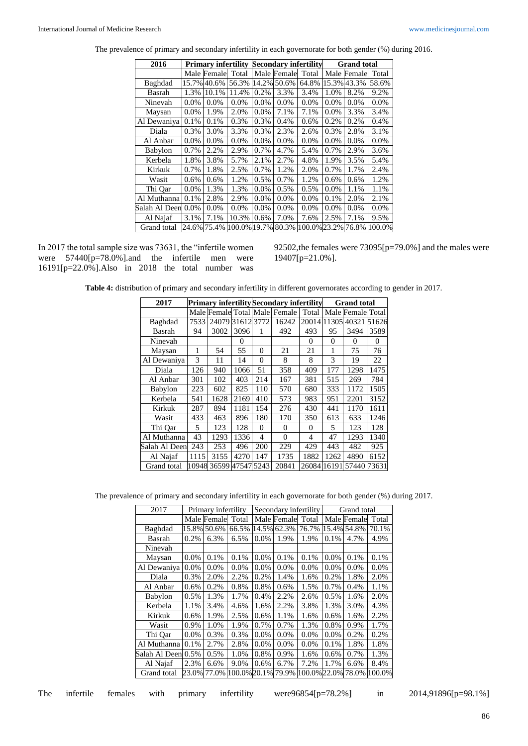| 2016               |         | <b>Primary infertility</b> |                    |         |             | <b>Secondary infertility</b> | <b>Grand</b> total |             |              |  |
|--------------------|---------|----------------------------|--------------------|---------|-------------|------------------------------|--------------------|-------------|--------------|--|
|                    |         | Male Female                | Total              |         | Male Female | Total                        |                    | Male Female | Total        |  |
| Baghdad            |         | 15.7% 40.6%                | 56.3%              |         | 14.2% 50.6% | 64.8%                        |                    | 15.3% 43.3% | 58.6%        |  |
| Basrah             | 1.3%    | 10.1%                      | 11.4%              | 0.2%    | 3.3%        | 3.4%                         | 1.0%               | 8.2%        | 9.2%         |  |
| Ninevah            | $0.0\%$ | $0.0\%$                    | $0.0\%$            | 0.0%    | 0.0%        | $0.0\%$                      | $0.0\%$            | 0.0%        | 0.0%         |  |
| Maysan             | 0.0%    | 1.9%                       | 2.0%               | 0.0%    | 7.1%        | 7.1%                         | 0.0%               | 3.3%        | 3.4%         |  |
| Al Dewaniya        | 0.1%    | 0.1%                       | 0.3%               | 0.3%    | 0.4%        | 0.6%                         | 0.2%               | 0.2%        | 0.4%         |  |
| Diala              | 0.3%    | 3.0%                       | 3.3%               | 0.3%    | 2.3%        | 2.6%                         | 0.3%               | 2.8%        | 3.1%         |  |
| Al Anbar           | 0.0%    | 0.0%                       | 0.0%               | 0.0%    | 0.0%        | 0.0%                         | 0.0%               | 0.0%        | 0.0%         |  |
| Babylon            | 0.7%    | 2.2%                       | 2.9%               | 0.7%    | 4.7%        | 5.4%                         | 0.7%               | 2.9%        | 3.6%         |  |
| Kerbela            | 1.8%    | 3.8%                       | 5.7%               | 2.1%    | 2.7%        | 4.8%                         | 1.9%               | 3.5%        | 5.4%         |  |
| Kirkuk             | 0.7%    | 1.8%                       | 2.5%               | 0.7%    | 1.2%        | 2.0%                         | 0.7%               | 1.7%        | 2.4%         |  |
| Wasit              | 0.6%    | 0.6%                       | 1.2%               | 0.5%    | 0.7%        | 1.2%                         | 0.6%               | 0.6%        | 1.2%         |  |
| Thi Qar            | $0.0\%$ | 1.3%                       | 1.3%               | 0.0%    | 0.5%        | 0.5%                         | 0.0%               | 1.1%        | 1.1%         |  |
| Al Muthanna        | 0.1%    | 2.8%                       | 2.9%               | 0.0%    | $0.0\%$     | $0.0\%$                      | 0.1%               | 2.0%        | 2.1%         |  |
| Salah Al Deen 0.0% |         | $0.0\%$                    | $0.0\%$            | $0.0\%$ | $0.0\%$     | $0.0\%$                      | 0.0%               | $0.0\%$     | $0.0\%$      |  |
| Al Najaf           | 3.1%    | 7.1%                       | 10.3%              | 0.6%    | 7.0%        | 7.6%                         | 2.5%               | 7.1%        | 9.5%         |  |
| Grand total        |         | 24.6% 75.4%                | 100.0% 19.7% 80.3% |         |             | 100.0% 23.2%                 |                    |             | 76.8% 100.0% |  |

The prevalence of primary and secondary infertility in each governorate for both gender (%) during 2016.

In 2017 the total sample size was 73631, the "infertile women were 57440[p=78.0%].and the infertile men were 16191[p=22.0%].Also in 2018 the total number was

92502,the females were 73095[p=79.0%] and the males were 19407[p=21.0%].

**Table 4:** distribution of primary and secondary infertility in different governorates according to gender in 2017.

| 2017          |       |       |           |                | <b>Primary infertility Secondary infertility</b> |                | <b>Grand</b> total |                   |       |  |
|---------------|-------|-------|-----------|----------------|--------------------------------------------------|----------------|--------------------|-------------------|-------|--|
|               |       |       |           |                | Male Female Total Male Female                    | Total          |                    | Male Female Total |       |  |
| Baghdad       | 7533  | 24079 | 316123772 |                | 16242                                            | 20014          | 11305              | 40321             | 51626 |  |
| Basrah        | 94    | 3002  | 3096      | 1              | 492                                              | 493            | 95                 | 3494              | 3589  |  |
| Ninevah       |       |       | $\Omega$  |                |                                                  | $\Omega$       | $\Omega$           | $\Omega$          | 0     |  |
| Maysan        | 1     | 54    | 55        | $\Omega$       | 21                                               | 21             | 1                  | 75                | 76    |  |
| Al Dewaniya   | 3     | 11    | 14        | $\theta$       | 8                                                | 8              | 3                  | 19                | 22    |  |
| Diala         | 126   | 940   | 1066      | 51             | 358                                              | 409            | 177                | 1298              | 1475  |  |
| Al Anbar      | 301   | 102   | 403       | 214            | 167                                              | 381            | 515                | 269               | 784   |  |
| Babylon       | 223   | 602   | 825       | 110            | 570                                              | 680            | 333                | 1172              | 1505  |  |
| Kerbela       | 541   | 1628  | 2169      | 410            | 573                                              | 983            | 951                | 2201              | 3152  |  |
| Kirkuk        | 287   | 894   | 1181      | 154            | 276                                              | 430            | 441                | 1170              | 1611  |  |
| Wasit         | 433   | 463   | 896       | 180            | 170                                              | 350            | 613                | 633               | 1246  |  |
| Thi Oar       | 5     | 123   | 128       | $\Omega$       | $\Omega$                                         | $\Omega$       | 5                  | 123               | 128   |  |
| Al Muthanna   | 43    | 1293  | 1336      | $\overline{4}$ | $\Omega$                                         | $\overline{4}$ | 47                 | 1293              | 1340  |  |
| Salah Al Deen | 243   | 253   | 496       | 200            | 229                                              | 429            | 443                | 482               | 925   |  |
| Al Najaf      | 1115  | 3155  | 4270      | 147            | 1735                                             | 1882           | 1262               | 4890              | 6152  |  |
| Grand total   | 10948 | 36599 | 47547     | 5243           | 20841                                            | 26084          | 16191              | 57440             | 73631 |  |

The prevalence of primary and secondary infertility in each governorate for both gender (%) during 2017.

| 2017               |       | Primary infertility |              |         | Secondary infertility |              | Grand total |             |        |  |
|--------------------|-------|---------------------|--------------|---------|-----------------------|--------------|-------------|-------------|--------|--|
|                    |       | Male Female         | Total        |         | Male Female           | Total        |             | Male Female | Total  |  |
| Baghdad            |       | 15.8% 50.6%         | 66.5%        |         | 14.5% 62.3%           | 76.7%        |             | 15.4% 54.8% | 70.1%  |  |
| Basrah             | 0.2%  | 6.3%                | 6.5%         | $0.0\%$ | 1.9%                  | 1.9%         | 0.1%        | 4.7%        | 4.9%   |  |
| Ninevah            |       |                     |              |         |                       |              |             |             |        |  |
| Maysan             | 0.0%  | 0.1%                | 0.1%         | $0.0\%$ | 0.1%                  | 0.1%         | $0.0\%$     | 0.1%        | 0.1%   |  |
| Al Dewaniya        | 0.0%  | 0.0%                | $0.0\%$      | $0.0\%$ | $0.0\%$               | 0.0%         | $0.0\%$     | $0.0\%$     | 0.0%   |  |
| Diala              | 0.3%  | 2.0%                | 2.2%         | 0.2%    | 1.4%                  | 1.6%         | 0.2%        | 1.8%        | 2.0%   |  |
| Al Anbar           | 0.6%  | 0.2%                | 0.8%         | 0.8%    | 0.6%                  | 1.5%         | 0.7%        | 0.4%        | 1.1%   |  |
| Babylon            | 0.5%  | 1.3%                | 1.7%         | 0.4%    | 2.2%                  | 2.6%         | 0.5%        | 1.6%        | 2.0%   |  |
| Kerbela            | 1.1%  | 3.4%                | 4.6%         | 1.6%    | 2.2%                  | 3.8%         | 1.3%        | 3.0%        | 4.3%   |  |
| Kirkuk             | 0.6%  | 1.9%                | 2.5%         | 0.6%    | 1.1%                  | 1.6%         | 0.6%        | 1.6%        | 2.2%   |  |
| Wasit              | 0.9%  | 1.0%                | 1.9%         | 0.7%    | 0.7%                  | 1.3%         | 0.8%        | 0.9%        | 1.7%   |  |
| Thi Oar            | 0.0%  | 0.3%                | 0.3%         | $0.0\%$ | $0.0\%$               | 0.0%         | $0.0\%$     | 0.2%        | 0.2%   |  |
| Al Muthanna        | 0.1%  | 2.7%                | 2.8%         | $0.0\%$ | $0.0\%$               | 0.0%         | 0.1%        | 1.8%        | 1.8%   |  |
| Salah Al Deen 0.5% |       | 0.5%                | 1.0%         | 0.8%    | 0.9%                  | 1.6%         | 0.6%        | 0.7%        | 1.3%   |  |
| Al Najaf           | 2.3%  | 6.6%                | 9.0%         | 0.6%    | 6.7%                  | 7.2%         | 1.7%        | 6.6%        | 8.4%   |  |
| Grand total        | 23.0% | 77.0%               | 100.0% 20.1% |         | 79.9%                 | 100.0% 22.0% |             | 78.0%       | 100.0% |  |

|  |  |  |  |  | The infertile females with primary infertility | were96854[p=78.2%] |  | 201 |
|--|--|--|--|--|------------------------------------------------|--------------------|--|-----|
|--|--|--|--|--|------------------------------------------------|--------------------|--|-----|

 $14,91896[p=98.1\%]$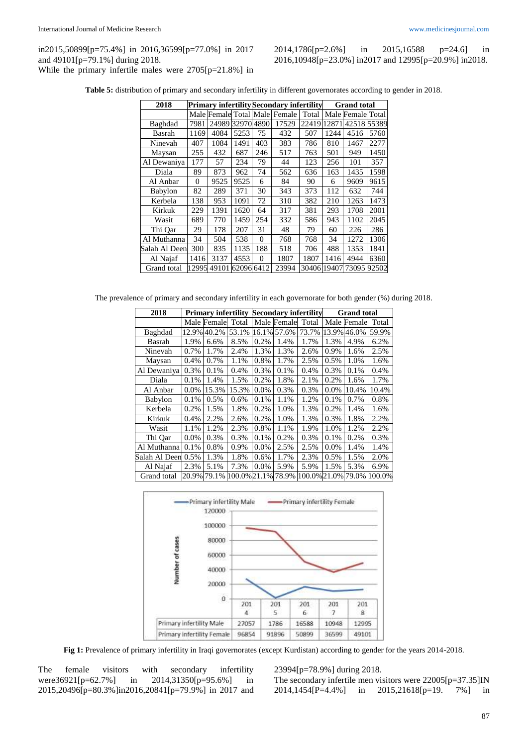2014,1786[p=2.6%] in 2015,16588 p=24.6] in 2016,10948[p=23.0%] in2017 and 12995[p=20.9%] in2018.

**Table 5:** distribution of primary and secondary infertility in different governorates according to gender in 2018.

| 2018           |          |       |       |          | <b>Primary infertility</b> Secondary infertility |             | <b>Grand</b> total |                   |       |  |
|----------------|----------|-------|-------|----------|--------------------------------------------------|-------------|--------------------|-------------------|-------|--|
|                |          |       |       |          | Male Female Total Male Female                    | Total       |                    | Male Female Total |       |  |
| Baghdad        | 7981     | 24989 | 32970 | 4890     | 17529                                            | 22419       | 1287               | 4251855389        |       |  |
| Basrah         | 1169     | 4084  | 5253  | 75       | 432                                              | 507         | 1244               | 4516              | 5760  |  |
| Ninevah        | 407      | 1084  | 1491  | 403      | 383                                              | 786         | 810                | 1467              | 2277  |  |
| Maysan         | 255      | 432   | 687   | 246      | 517                                              | 763         | 501                | 949               | 1450  |  |
| Al Dewaniya    | 177      | 57    | 234   | 79       | 44                                               | 123         | 256                | 101               | 357   |  |
| Diala          | 89       | 873   | 962   | 74       | 562                                              | 636         | 163                | 1435              | 1598  |  |
| Al Anbar       | $\Omega$ | 9525  | 9525  | 6        | 84                                               | 90          | 6                  | 9609              | 9615  |  |
| Babylon        | 82       | 289   | 371   | 30       | 343                                              | 373         | 112                | 632               | 744   |  |
| Kerbela        | 138      | 953   | 1091  | 72       | 310                                              | 382         | 210                | 1263              | 1473  |  |
| Kirkuk         | 229      | 1391  | 1620  | 64       | 317                                              | 381         | 293                | 1708              | 2001  |  |
| Wasit          | 689      | 770   | 1459  | 254      | 332                                              | 586         | 943                | 1102              | 2045  |  |
| Thi Qar        | 29       | 178   | 207   | 31       | 48                                               | 79          | 60                 | 226               | 286   |  |
| Al Muthanna    | 34       | 504   | 538   | $\Omega$ | 768                                              | 768         | 34                 | 1272              | 1306  |  |
| Salah Al Deenl | 300      | 835   | 1135  | 188      | 518                                              | 706         | 488                | 1353              | 1841  |  |
| Al Najaf       | 1416     | 3137  | 4553  | $\Omega$ | 1807                                             | 1807        | 1416               | 4944              | 6360  |  |
| Grand total    | 12995    | 49101 | 62096 | 6412     | 23994                                            | 30406 19407 |                    | 73095             | 92502 |  |

The prevalence of primary and secondary infertility in each governorate for both gender (%) during 2018.

| 2018          |         |             |                    |         |             | <b>Primary infertility Secondary infertility</b> | <b>Grand</b> total |             |        |  |
|---------------|---------|-------------|--------------------|---------|-------------|--------------------------------------------------|--------------------|-------------|--------|--|
|               |         | Male Female | Total              |         | Male Female | Total                                            | Male               | Female      | Total  |  |
| Baghdad       | 12.9%   | 40.2%       | 53.1%              |         | 16.1% 57.6% | 73.7%                                            |                    | 13.9% 46.0% | 59.9%  |  |
| Basrah        | 1.9%    | 6.6%        | 8.5%               | 0.2%    | 1.4%        | 1.7%                                             | 1.3%               | 4.9%        | 6.2%   |  |
| Ninevah       | 0.7%    | 1.7%        | 2.4%               | 1.3%    | 1.3%        | 2.6%                                             | 0.9%               | 1.6%        | 2.5%   |  |
| Maysan        | 0.4%    | 0.7%        | 1.1%               | 0.8%    | 1.7%        | 2.5%                                             | 0.5%               | 1.0%        | 1.6%   |  |
| Al Dewaniya   | 0.3%    | 0.1%        | 0.4%               | 0.3%    | 0.1%        | 0.4%                                             | 0.3%               | 0.1%        | 0.4%   |  |
| Diala         | 0.1%    | 1.4%        | 1.5%               | 0.2%    | 1.8%        | 2.1%                                             | 0.2%               | 1.6%        | 1.7%   |  |
| Al Anbar      | 0.0%    | 15.3%       | 15.3%              | 0.0%    | 0.3%        | 0.3%                                             | 0.0%               | 10.4%       | 10.4%  |  |
| Babylon       | 0.1%    | 0.5%        | 0.6%               | 0.1%    | 1.1%        | 1.2%                                             | 0.1%               | 0.7%        | 0.8%   |  |
| Kerbela       | 0.2%    | 1.5%        | 1.8%               | 0.2%    | 1.0%        | 1.3%                                             | 0.2%               | 1.4%        | 1.6%   |  |
| Kirkuk        | 0.4%    | 2.2%        | 2.6%               | 0.2%    | 1.0%        | 1.3%                                             | 0.3%               | 1.8%        | 2.2%   |  |
| Wasit         | 1.1%    | 1.2%        | 2.3%               | 0.8%    | 1.1%        | 1.9%                                             | 1.0%               | 1.2%        | 2.2%   |  |
| Thi Qar       | $0.0\%$ | 0.3%        | 0.3%               | 0.1%    | 0.2%        | 0.3%                                             | 0.1%               | 0.2%        | 0.3%   |  |
| Al Muthanna   | 0.1%    | 0.8%        | 0.9%               | $0.0\%$ | 2.5%        | 2.5%                                             | 0.0%               | 1.4%        | 1.4%   |  |
| Salah Al Deen | 0.5%    | 1.3%        | 1.8%               | 0.6%    | 1.7%        | 2.3%                                             | 0.5%               | 1.5%        | 2.0%   |  |
| Al Najaf      | 2.3%    | 5.1%        | 7.3%               | 0.0%    | 5.9%        | 5.9%                                             | 1.5%               | 5.3%        | 6.9%   |  |
| Grand total   |         | 20.9% 79.1% | 100.0% 21.1% 78.9% |         |             | 100.0% 21.0% 79.0%                               |                    |             | 100.0% |  |



**Fig 1:** Prevalence of primary infertility in Iraqi governorates (except Kurdistan) according to gender for the years 2014-2018.

The female visitors with secondary infertility were36921[p=62.7%] in 2014,31350[p=95.6%] in 2015,20496[p=80.3%]in2016,20841[p=79.9%] in 2017 and 23994[p=78.9%] during 2018.

The secondary infertile men visitors were 22005[p=37.35]IN 2014,1454[P=4.4%] in 2015,21618[p=19. 7%] in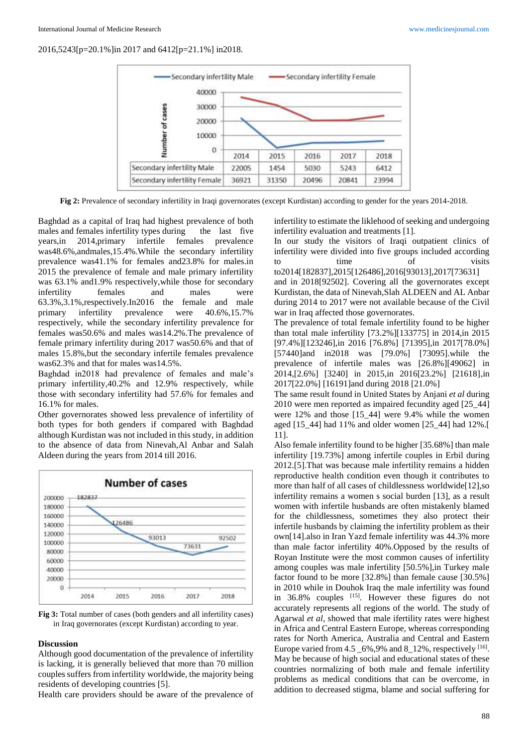

**Fig 2:** Prevalence of secondary infertility in Iraqi governorates (except Kurdistan) according to gender for the years 2014-2018.

Baghdad as a capital of Iraq had highest prevalence of both males and females infertility types during the last five years,in 2014,primary infertile females prevalence was48.6%,andmales,15.4%.While the secondary infertility prevalence was41.1% for females and23.8% for males.in 2015 the prevalence of female and male primary infertility was 63.1% and1.9% respectively,while those for secondary infertility females and males were 63.3%,3.1%,respectively.In2016 the female and male primary infertility prevalence were 40.6%,15.7% respectively, while the secondary infertility prevalence for females was50.6% and males was14.2%.The prevalence of female primary infertility during 2017 was50.6% and that of males 15.8%,but the secondary infertile females prevalence was62.3% and that for males was14.5%.

Baghdad in2018 had prevalence of females and male's primary infertility,40.2% and 12.9% respectively, while those with secondary infertility had 57.6% for females and 16.1% for males.

Other governorates showed less prevalence of infertility of both types for both genders if compared with Baghdad although Kurdistan was not included in this study, in addition to the absence of data from Ninevah,Al Anbar and Salah Aldeen during the years from 2014 till 2016.





#### **Discussion**

Although good documentation of the prevalence of infertility is lacking, it is generally believed that more than 70 million couples suffers from infertility worldwide, the majority being residents of developing countries [5].

Health care providers should be aware of the prevalence of

infertility to estimate the liklehood of seeking and undergoing infertility evaluation and treatments [1].

In our study the visitors of Iraqi outpatient clinics of infertility were divided into five groups included according to time of visits

to2014[182837],2015[126486],2016[93013],2017[73631] and in 2018[92502]. Covering all the governorates except Kurdistan, the data of Ninevah,Slah ALDEEN and AL Anbar during 2014 to 2017 were not available because of the Civil war in Iraq affected those governorates.

The prevalence of total female infertility found to be higher than total male infertility [73.2%][133775] in 2014,in 2015 [97.4%][123246],in 2016 [76.8%] [71395],in 2017[78.0%] [57440]and in2018 was [79.0%] [73095].while the prevalence of infertile males was [26.8%][49062] in 2014,[2.6%] [3240] in 2015,in 2016[23.2%] [21618],in 2017[22.0%] [16191]and during 2018 [21.0%]

The same result found in United States by Anjani *et al* during 2010 were men reported as impaired fecundity aged [25\_44] were 12% and those [15\_44] were 9.4% while the women aged [15\_44] had 11% and older women [25\_44] had 12%.[ 11].

Also female infertility found to be higher [35.68%] than male infertility [19.73%] among infertile couples in Erbil during 2012.[5].That was because male infertility remains a hidden reproductive health condition even though it contributes to more than half of all cases of childlessness worldwide[12],so infertility remains a women s social burden [13], as a result women with infertile husbands are often mistakenly blamed for the childlessness, sometimes they also protect their infertile husbands by claiming the infertility problem as their own[14].also in Iran Yazd female infertility was 44.3% more than male factor infertility 40%.Opposed by the results of Royan Institute were the most common causes of infertility among couples was male infertility [50.5%],in Turkey male factor found to be more [32.8%] than female cause [30.5%] in 2010 while in Douhok Iraq the male infertility was found in  $36.8\%$  couples  $^{[15]}$ . However these figures do not accurately represents all regions of the world. The study of Agarwal *et al*, showed that male ifertility rates were highest in Africa and Central Eastern Europe, whereas corresponding rates for North America, Australia and Central and Eastern Europe varied from  $4.5 \_6\%$ ,  $9\%$  and  $8 \_12\%$ , respectively  $^{[16]}$ . May be because of high social and educational states of these countries normalizing of both male and female infertility problems as medical conditions that can be overcome, in addition to decreased stigma, blame and social suffering for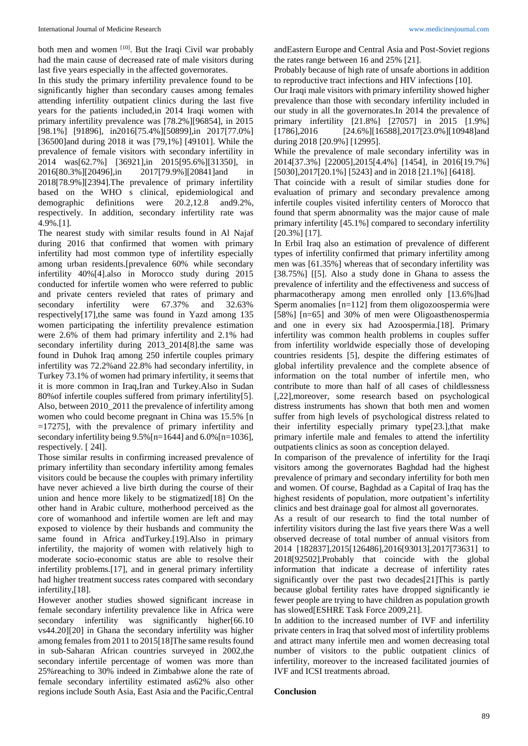both men and women [10]. But the Iraqi Civil war probably had the main cause of decreased rate of male visitors during last five years especially in the affected governorates.

In this study the primary infertility prevalence found to be significantly higher than secondary causes among females attending infertility outpatient clinics during the last five years for the patients included,in 2014 Iraqi women with primary infertility prevalence was [78.2%][96854], in 2015 [98.1%] [91896], in2016[75.4%][50899],in 2017[77.0%] [36500]and during 2018 it was [79,1%] [49101]. While the prevalence of female visitors with secondary infertility in 2014 was[62.7%] [36921],in 2015[95.6%][31350], in 2016[80.3%][20496],in 2017[79.9%][20841]and in 2018[78.9%][2394].The prevalence of primary infertility based on the WHO s clinical, epidemiological and demographic definitions were 20.2,12.8 and9.2%, respectively. In addition, secondary infertility rate was 4.9%.[1].

The nearest study with similar results found in Al Najaf during 2016 that confirmed that women with primary infertility had most common type of infertility especially among urban residents.[prevalence 60% while secondary infertility 40%[4].also in Morocco study during 2015 conducted for infertile women who were referred to public and private centers revieled that rates of primary and secondary infertility were 67.37% and 32.63% respectively[17],the same was found in Yazd among 135 women participating the infertility prevalence estimation were 2.6% of them had primary infertility and 2.1% had secondary infertility during 2013 2014[8].the same was found in Duhok Iraq among 250 infertile couples primary infertility was 72.2%and 22.8% had secondary infertility, in Turkey 73.1% of women had primary infertility, it seems that it is more common in Iraq,Iran and Turkey.Also in Sudan 80%of infertile couples suffered from primary infertility[5]. Also, between 2010\_2011 the prevalence of infertility among women who could become pregnant in China was 15.5% [n =17275], with the prevalence of primary infertility and secondary infertility being 9.5%[n=1644] and 6.0%[n=1036], respectively. [ 24l].

Those similar results in confirming increased prevalence of primary infertility than secondary infertility among females visitors could be because the couples with primary infertility have never achieved a live birth during the course of their union and hence more likely to be stigmatized[18] On the other hand in Arabic culture, motherhood perceived as the core of womanhood and infertile women are left and may exposed to violence by their husbands and community the same found in Africa andTurkey.[19].Also in primary infertility, the majority of women with relatively high to moderate socio-economic status are able to resolve their infertility problems.[17], and in general primary infertility had higher treatment success rates compared with secondary infertility,[18].

However another studies showed significant increase in female secondary infertility prevalence like in Africa were secondary infertility was significantly higher[66.10] vs44.20][20] in Ghana the secondary infertility was higher among females from 2011 to 2015[18]The same results found in sub-Saharan African countries surveyed in 2002,the secondary infertile percentage of women was more than 25%reaching to 30% indeed in Zimbabwe alone the rate of female secondary infertility estimated as62% also other regions include South Asia, East Asia and the Pacific,Central

andEastern Europe and Central Asia and Post-Soviet regions the rates range between 16 and 25% [21].

Probably because of high rate of unsafe abortions in addition to reproductive tract infections and HIV infections [10].

Our Iraqi male visitors with primary infertility showed higher prevalence than those with secondary infertility included in our study in all the governorates.In 2014 the prevalence of primary infertility [21.8%] [27057] in 2015 [1.9%] [1786],2016 [24.6%][16588],2017[23.0%][10948]and during 2018 [20.9%] [12995].

While the prevalence of male secondary infertility was in 2014[37.3%] [22005],2015[4.4%] [1454], in 2016[19.7%] [5030], 2017[20.1%] [5243] and in 2018 [21.1%] [6418].

That coincide with a result of similar studies done for evaluation of primary and secondary prevalence among infertile couples visited infertility centers of Morocco that found that sperm abnormality was the major cause of male primary infertility [45.1%] compared to secondary infertility [20.3%] [17].

In Erbil Iraq also an estimation of prevalence of different types of infertility confirmed that primary infertility among men was [61.35%] whereas that of secondary infertility was [38.75%] [[5]. Also a study done in Ghana to assess the prevalence of infertility and the effectiveness and success of pharmacotherapy among men enrolled only [13.6%]had Sperm anomalies [n=112] from them oligozoospermia were [58%] [n=65] and 30% of men were Oligoasthenospermia and one in every six had Azoospermia.[18]. Primary infertility was common health problems in couples suffer from infertility worldwide especially those of developing countries residents [5], despite the differing estimates of global infertility prevalence and the complete absence of information on the total number of infertile men, who contribute to more than half of all cases of childlessness [,22],moreover, some research based on psychological distress instruments has shown that both men and women suffer from high levels of psychological distress related to their infertility especially primary type[23.],that make primary infertile male and females to attend the infertility outpatients clinics as soon as conception delayed.

In comparison of the prevalence of infertility for the Iraqi visitors among the governorates Baghdad had the highest prevalence of primary and secondary infertility for both men and women. Of course, Baghdad as a Capital of Iraq has the highest residents of population, more outpatient's infertility clinics and best drainage goal for almost all governorates.

As a result of our research to find the total number of infertility visitors during the last five years there Was a well observed decrease of total number of annual visitors from 2014 [182837],2015[126486],2016[93013],2017[73631] to 2018[92502].Probably that coincide with the global information that indicate a decrease of infertility rates significantly over the past two decades[21]This is partly because global fertility rates have dropped significantly ie fewer people are trying to have children as population growth has slowed[ESHRE Task Force 2009,21].

In addition to the increased number of IVF and infertility private centers in Iraq that solved most of infertility problems and attract many infertile men and women decreasing total number of visitors to the public outpatient clinics of infertility, moreover to the increased facilitated journies of IVF and ICSI treatments abroad.

### **Conclusion**